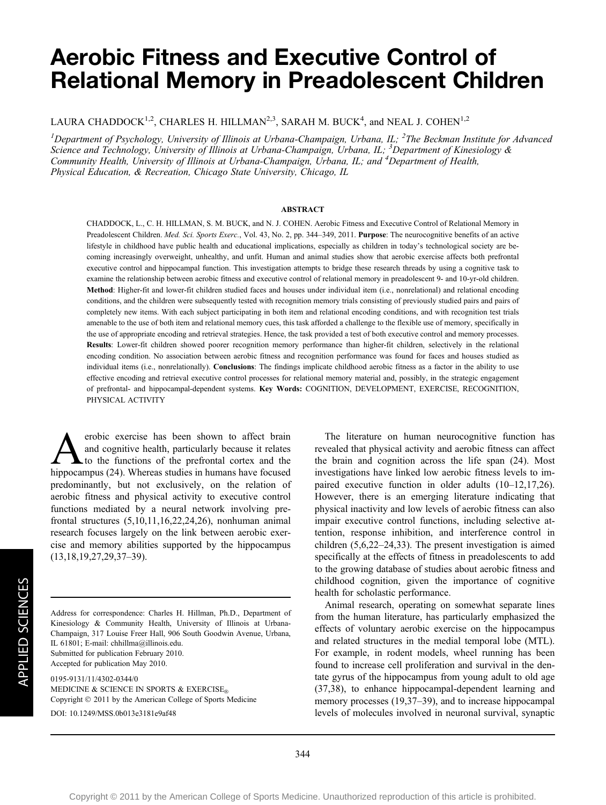# Aerobic Fitness and Executive Control of Relational Memory in Preadolescent Children

LAURA CHADDOCK<sup>1,2</sup>, CHARLES H. HILLMAN<sup>2,3</sup>, SARAH M. BUCK<sup>4</sup>, and NEAL J. COHEN<sup>1,2</sup>

<sup>1</sup>Department of Psychology, University of Illinois at Urbana-Champaign, Urbana, IL; <sup>2</sup>The Beckman Institute for Advanced Science and Technology, University of Illinois at Urbana-Champaign, Urbana, IL; <sup>3</sup>Department of Kinesiology & Community Health, University of Illinois at Urbana-Champaign, Urbana, IL; and <sup>4</sup>Department of Health, Physical Education, & Recreation, Chicago State University, Chicago, IL

### ABSTRACT

CHADDOCK, L., C. H. HILLMAN, S. M. BUCK, and N. J. COHEN. Aerobic Fitness and Executive Control of Relational Memory in Preadolescent Children. Med. Sci. Sports Exerc., Vol. 43, No. 2, pp. 344–349, 2011. Purpose: The neurocognitive benefits of an active lifestyle in childhood have public health and educational implications, especially as children in today's technological society are becoming increasingly overweight, unhealthy, and unfit. Human and animal studies show that aerobic exercise affects both prefrontal executive control and hippocampal function. This investigation attempts to bridge these research threads by using a cognitive task to examine the relationship between aerobic fitness and executive control of relational memory in preadolescent 9- and 10-yr-old children. Method: Higher-fit and lower-fit children studied faces and houses under individual item (i.e., nonrelational) and relational encoding conditions, and the children were subsequently tested with recognition memory trials consisting of previously studied pairs and pairs of completely new items. With each subject participating in both item and relational encoding conditions, and with recognition test trials amenable to the use of both item and relational memory cues, this task afforded a challenge to the flexible use of memory, specifically in the use of appropriate encoding and retrieval strategies. Hence, the task provided a test of both executive control and memory processes. Results: Lower-fit children showed poorer recognition memory performance than higher-fit children, selectively in the relational encoding condition. No association between aerobic fitness and recognition performance was found for faces and houses studied as individual items (i.e., nonrelationally). Conclusions: The findings implicate childhood aerobic fitness as a factor in the ability to use effective encoding and retrieval executive control processes for relational memory material and, possibly, in the strategic engagement of prefrontal- and hippocampal-dependent systems. Key Words: COGNITION, DEVELOPMENT, EXERCISE, RECOGNITION, PHYSICAL ACTIVITY

erobic exercise has been shown to affect brain<br>and cognitive health, particularly because it relates<br>to the functions of the prefrontal cortex and the<br>hippocampus (24) Whereas studies in humans have focused and cognitive health, particularly because it relates to the functions of the prefrontal cortex and the hippocampus (24). Whereas studies in humans have focused predominantly, but not exclusively, on the relation of aerobic fitness and physical activity to executive control functions mediated by a neural network involving prefrontal structures (5,10,11,16,22,24,26), nonhuman animal research focuses largely on the link between aerobic exercise and memory abilities supported by the hippocampus (13,18,19,27,29,37–39).

Address for correspondence: Charles H. Hillman, Ph.D., Department of Kinesiology & Community Health, University of Illinois at Urbana-Champaign, 317 Louise Freer Hall, 906 South Goodwin Avenue, Urbana, IL 61801; E-mail: chhillma@illinois.edu. Submitted for publication February 2010. Accepted for publication May 2010. 0195-9131/11/4302-0344/0

MEDICINE & SCIENCE IN SPORTS & EXERCISE® Copyright © 2011 by the American College of Sports Medicine DOI: 10.1249/MSS.0b013e3181e9af48

The literature on human neurocognitive function has revealed that physical activity and aerobic fitness can affect the brain and cognition across the life span (24). Most investigations have linked low aerobic fitness levels to impaired executive function in older adults (10–12,17,26). However, there is an emerging literature indicating that physical inactivity and low levels of aerobic fitness can also impair executive control functions, including selective attention, response inhibition, and interference control in children (5,6,22–24,33). The present investigation is aimed specifically at the effects of fitness in preadolescents to add to the growing database of studies about aerobic fitness and childhood cognition, given the importance of cognitive health for scholastic performance.

Animal research, operating on somewhat separate lines from the human literature, has particularly emphasized the effects of voluntary aerobic exercise on the hippocampus and related structures in the medial temporal lobe (MTL). For example, in rodent models, wheel running has been found to increase cell proliferation and survival in the dentate gyrus of the hippocampus from young adult to old age (37,38), to enhance hippocampal-dependent learning and memory processes (19,37–39), and to increase hippocampal levels of molecules involved in neuronal survival, synaptic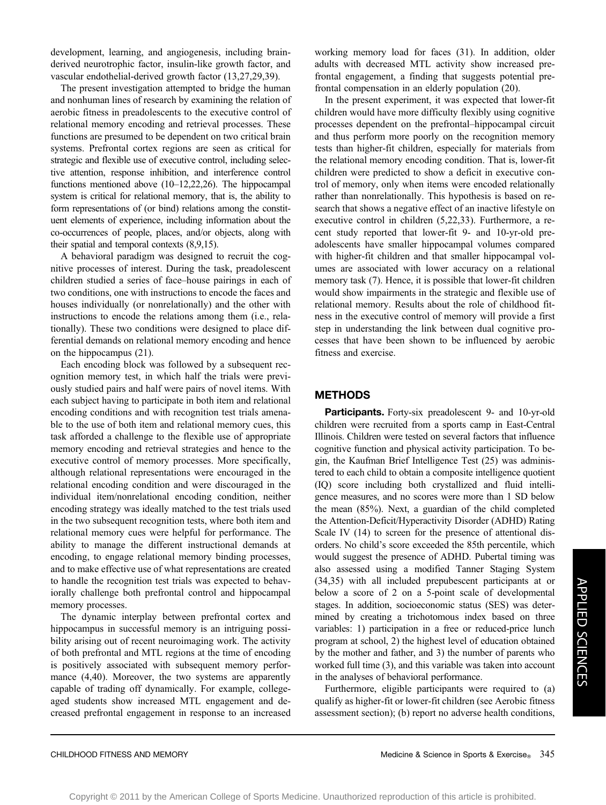development, learning, and angiogenesis, including brainderived neurotrophic factor, insulin-like growth factor, and vascular endothelial-derived growth factor (13,27,29,39).

The present investigation attempted to bridge the human and nonhuman lines of research by examining the relation of aerobic fitness in preadolescents to the executive control of relational memory encoding and retrieval processes. These functions are presumed to be dependent on two critical brain systems. Prefrontal cortex regions are seen as critical for strategic and flexible use of executive control, including selective attention, response inhibition, and interference control functions mentioned above (10–12,22,26). The hippocampal system is critical for relational memory, that is, the ability to form representations of (or bind) relations among the constituent elements of experience, including information about the co-occurrences of people, places, and/or objects, along with their spatial and temporal contexts (8,9,15).

A behavioral paradigm was designed to recruit the cognitive processes of interest. During the task, preadolescent children studied a series of face–house pairings in each of two conditions, one with instructions to encode the faces and houses individually (or nonrelationally) and the other with instructions to encode the relations among them (i.e., relationally). These two conditions were designed to place differential demands on relational memory encoding and hence on the hippocampus (21).

Each encoding block was followed by a subsequent recognition memory test, in which half the trials were previously studied pairs and half were pairs of novel items. With each subject having to participate in both item and relational encoding conditions and with recognition test trials amenable to the use of both item and relational memory cues, this task afforded a challenge to the flexible use of appropriate memory encoding and retrieval strategies and hence to the executive control of memory processes. More specifically, although relational representations were encouraged in the relational encoding condition and were discouraged in the individual item/nonrelational encoding condition, neither encoding strategy was ideally matched to the test trials used in the two subsequent recognition tests, where both item and relational memory cues were helpful for performance. The ability to manage the different instructional demands at encoding, to engage relational memory binding processes, and to make effective use of what representations are created to handle the recognition test trials was expected to behaviorally challenge both prefrontal control and hippocampal memory processes.

The dynamic interplay between prefrontal cortex and hippocampus in successful memory is an intriguing possibility arising out of recent neuroimaging work. The activity of both prefrontal and MTL regions at the time of encoding is positively associated with subsequent memory performance (4,40). Moreover, the two systems are apparently capable of trading off dynamically. For example, collegeaged students show increased MTL engagement and decreased prefrontal engagement in response to an increased

working memory load for faces (31). In addition, older adults with decreased MTL activity show increased prefrontal engagement, a finding that suggests potential prefrontal compensation in an elderly population (20).

In the present experiment, it was expected that lower-fit children would have more difficulty flexibly using cognitive processes dependent on the prefrontal–hippocampal circuit and thus perform more poorly on the recognition memory tests than higher-fit children, especially for materials from the relational memory encoding condition. That is, lower-fit children were predicted to show a deficit in executive control of memory, only when items were encoded relationally rather than nonrelationally. This hypothesis is based on research that shows a negative effect of an inactive lifestyle on executive control in children (5,22,33). Furthermore, a recent study reported that lower-fit 9- and 10-yr-old preadolescents have smaller hippocampal volumes compared with higher-fit children and that smaller hippocampal volumes are associated with lower accuracy on a relational memory task (7). Hence, it is possible that lower-fit children would show impairments in the strategic and flexible use of relational memory. Results about the role of childhood fitness in the executive control of memory will provide a first step in understanding the link between dual cognitive processes that have been shown to be influenced by aerobic fitness and exercise.

# **METHODS**

Participants. Forty-six preadolescent 9- and 10-yr-old children were recruited from a sports camp in East-Central Illinois. Children were tested on several factors that influence cognitive function and physical activity participation. To begin, the Kaufman Brief Intelligence Test (25) was administered to each child to obtain a composite intelligence quotient (IQ) score including both crystallized and fluid intelligence measures, and no scores were more than 1 SD below the mean (85%). Next, a guardian of the child completed the Attention-Deficit/Hyperactivity Disorder (ADHD) Rating Scale IV (14) to screen for the presence of attentional disorders. No child's score exceeded the 85th percentile, which would suggest the presence of ADHD. Pubertal timing was also assessed using a modified Tanner Staging System (34,35) with all included prepubescent participants at or below a score of 2 on a 5-point scale of developmental stages. In addition, socioeconomic status (SES) was determined by creating a trichotomous index based on three variables: 1) participation in a free or reduced-price lunch program at school, 2) the highest level of education obtained by the mother and father, and 3) the number of parents who worked full time (3), and this variable was taken into account in the analyses of behavioral performance.

Furthermore, eligible participants were required to (a) qualify as higher-fit or lower-fit children (see Aerobic fitness assessment section); (b) report no adverse health conditions,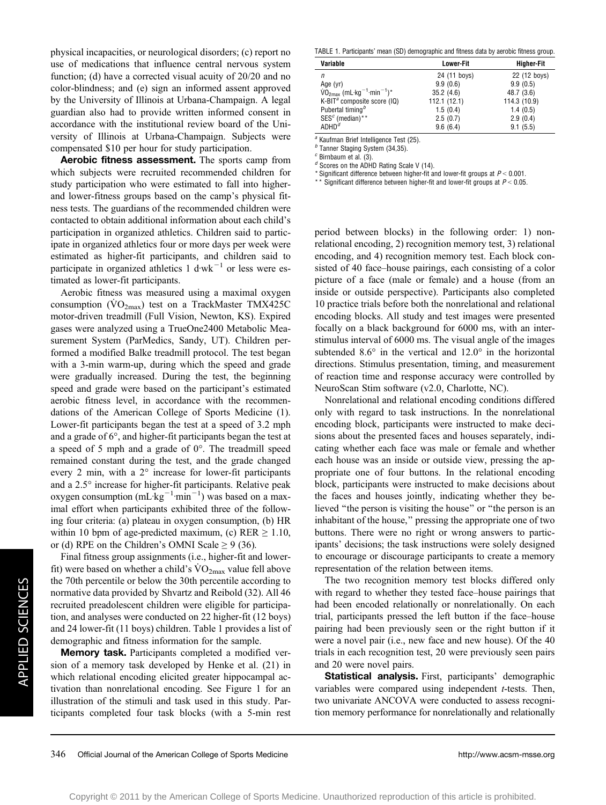physical incapacities, or neurological disorders; (c) report no use of medications that influence central nervous system function; (d) have a corrected visual acuity of 20/20 and no color-blindness; and (e) sign an informed assent approved by the University of Illinois at Urbana-Champaign. A legal guardian also had to provide written informed consent in accordance with the institutional review board of the University of Illinois at Urbana-Champaign. Subjects were compensated \$10 per hour for study participation.

Aerobic fitness assessment. The sports camp from which subjects were recruited recommended children for study participation who were estimated to fall into higherand lower-fitness groups based on the camp's physical fitness tests. The guardians of the recommended children were contacted to obtain additional information about each child's participation in organized athletics. Children said to participate in organized athletics four or more days per week were estimated as higher-fit participants, and children said to participate in organized athletics  $1 \text{ d·wk}^{-1}$  or less were estimated as lower-fit participants.

Aerobic fitness was measured using a maximal oxygen consumption ( $\rm \dot{VO}_{2max}$ ) test on a TrackMaster TMX425C motor-driven treadmill (Full Vision, Newton, KS). Expired gases were analyzed using a TrueOne2400 Metabolic Measurement System (ParMedics, Sandy, UT). Children performed a modified Balke treadmill protocol. The test began with a 3-min warm-up, during which the speed and grade were gradually increased. During the test, the beginning speed and grade were based on the participant's estimated aerobic fitness level, in accordance with the recommendations of the American College of Sports Medicine (1). Lower-fit participants began the test at a speed of 3.2 mph and a grade of  $6^\circ$ , and higher-fit participants began the test at a speed of 5 mph and a grade of  $0^\circ$ . The treadmill speed remained constant during the test, and the grade changed every 2 min, with a  $2^{\circ}$  increase for lower-fit participants and a  $2.5^{\circ}$  increase for higher-fit participants. Relative peak oxygen consumption  $(mLkg^{-1}min^{-1})$  was based on a maximal effort when participants exhibited three of the following four criteria: (a) plateau in oxygen consumption, (b) HR within 10 bpm of age-predicted maximum, (c) RER  $\geq 1.10$ , or (d) RPE on the Children's OMNI Scale  $\geq 9$  (36).

Final fitness group assignments (i.e., higher-fit and lowerfit) were based on whether a child's  $\rm \dot{VO}_{2max}$  value fell above the 70th percentile or below the 30th percentile according to normative data provided by Shvartz and Reibold (32). All 46 recruited preadolescent children were eligible for participation, and analyses were conducted on 22 higher-fit (12 boys) and 24 lower-fit (11 boys) children. Table 1 provides a list of demographic and fitness information for the sample.

Memory task. Participants completed a modified version of a memory task developed by Henke et al. (21) in which relational encoding elicited greater hippocampal activation than nonrelational encoding. See Figure 1 for an illustration of the stimuli and task used in this study. Participants completed four task blocks (with a 5-min rest

TABLE 1. Participants' mean (SD) demographic and fitness data by aerobic fitness group.

| Variable                                                        | <b>Lower-Fit</b> | <b>Higher-Fit</b> |  |
|-----------------------------------------------------------------|------------------|-------------------|--|
| n                                                               | 24 (11 boys)     | 22 (12 boys)      |  |
| Age (yr)                                                        | 9.9(0.6)         | 9.9(0.5)          |  |
| $VO2max$ (mL·kg <sup>-1</sup> ·min <sup>-1</sup> ) <sup>*</sup> | 35.2(4.6)        | 48.7 (3.6)        |  |
| K-BIT <sup>a</sup> composite score (IQ)                         | 112.1(12.1)      | 114.3 (10.9)      |  |
| Pubertal timing <sup>b</sup>                                    | 1.5(0.4)         | 1.4(0.5)          |  |
| $SESc$ (median) <sup>**</sup>                                   | 2.5(0.7)         | 2.9(0.4)          |  |
| ADHD <sup>d</sup>                                               | 9.6(6.4)         | 9.1(5.5)          |  |

a Kaufman Brief Intelligence Test (25).

 $<sup>b</sup>$  Tanner Staging System (34,35).</sup>

 $c$  Birnbaum et al. (3).

 $d$  Scores on the ADHD Rating Scale V (14).

\* Significant difference between higher-fit and lower-fit groups at  $P < 0.001$ .

\*\* Significant difference between higher-fit and lower-fit groups at  $P < 0.05$ .

period between blocks) in the following order: 1) nonrelational encoding, 2) recognition memory test, 3) relational encoding, and 4) recognition memory test. Each block consisted of 40 face–house pairings, each consisting of a color picture of a face (male or female) and a house (from an inside or outside perspective). Participants also completed 10 practice trials before both the nonrelational and relational encoding blocks. All study and test images were presented focally on a black background for 6000 ms, with an interstimulus interval of 6000 ms. The visual angle of the images subtended 8.6 $^{\circ}$  in the vertical and 12.0 $^{\circ}$  in the horizontal directions. Stimulus presentation, timing, and measurement of reaction time and response accuracy were controlled by NeuroScan Stim software (v2.0, Charlotte, NC).

Nonrelational and relational encoding conditions differed only with regard to task instructions. In the nonrelational encoding block, participants were instructed to make decisions about the presented faces and houses separately, indicating whether each face was male or female and whether each house was an inside or outside view, pressing the appropriate one of four buttons. In the relational encoding block, participants were instructed to make decisions about the faces and houses jointly, indicating whether they believed ''the person is visiting the house'' or ''the person is an inhabitant of the house,'' pressing the appropriate one of two buttons. There were no right or wrong answers to participants' decisions; the task instructions were solely designed to encourage or discourage participants to create a memory representation of the relation between items.

The two recognition memory test blocks differed only with regard to whether they tested face–house pairings that had been encoded relationally or nonrelationally. On each trial, participants pressed the left button if the face–house pairing had been previously seen or the right button if it were a novel pair (i.e., new face and new house). Of the 40 trials in each recognition test, 20 were previously seen pairs and 20 were novel pairs.

Statistical analysis. First, participants' demographic variables were compared using independent  $t$ -tests. Then, two univariate ANCOVA were conducted to assess recognition memory performance for nonrelationally and relationally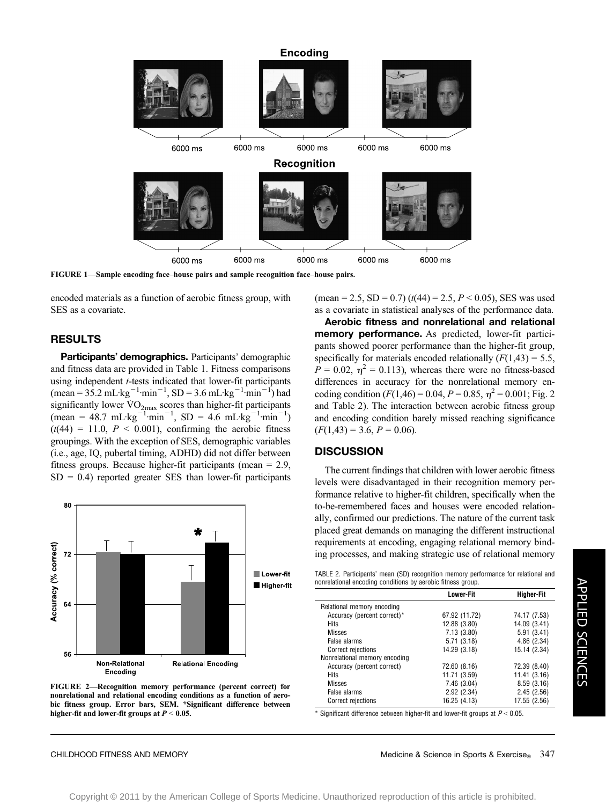

FIGURE 1—Sample encoding face–house pairs and sample recognition face–house pairs.

encoded materials as a function of aerobic fitness group, with SES as a covariate.

### RESULTS

Participants' demographics. Participants' demographic and fitness data are provided in Table 1. Fitness comparisons using independent t-tests indicated that lower-fit participants  $(\text{mean} = 35.2 \text{ mL} \cdot \text{kg}^{-1} \cdot \text{min}^{-1}, \text{SD} = 3.6 \text{ mL} \cdot \text{kg}^{-1} \cdot \text{min}^{-1})$  had significantly lower  $\rm\dot{VO}_{2max}$  scores than higher-fit participants  $(\text{mean} = 48.7 \text{ mL} \cdot \text{kg}^{-1} \cdot \text{min}^{-1}, \text{ SD} = 4.6 \text{ mL} \cdot \text{kg}^{-1} \cdot \text{min}^{-1})$  $(t(44) = 11.0, P < 0.001)$ , confirming the aerobic fitness groupings. With the exception of SES, demographic variables (i.e., age, IQ, pubertal timing, ADHD) did not differ between fitness groups. Because higher-fit participants (mean = 2.9,  $SD = 0.4$ ) reported greater SES than lower-fit participants



FIGURE 2—Recognition memory performance (percent correct) for nonrelational and relational encoding conditions as a function of aerobic fitness group. Error bars, SEM. \*Significant difference between higher-fit and lower-fit groups at  $P < 0.05$ .

(mean = 2.5, SD = 0.7) ( $t(44)$  = 2.5,  $P < 0.05$ ), SES was used as a covariate in statistical analyses of the performance data.

Aerobic fitness and nonrelational and relational memory performance. As predicted, lower-fit participants showed poorer performance than the higher-fit group, specifically for materials encoded relationally  $(F(1,43) = 5.5,$  $P = 0.02$ ,  $\eta^2 = 0.113$ ), whereas there were no fitness-based differences in accuracy for the nonrelational memory encoding condition ( $F(1,46) = 0.04$ ,  $P = 0.85$ ,  $\eta^2 = 0.001$ ; Fig. 2 and Table 2). The interaction between aerobic fitness group and encoding condition barely missed reaching significance  $(F(1, 43) = 3.6, P = 0.06).$ 

# **DISCUSSION**

The current findings that children with lower aerobic fitness levels were disadvantaged in their recognition memory performance relative to higher-fit children, specifically when the to-be-remembered faces and houses were encoded relationally, confirmed our predictions. The nature of the current task placed great demands on managing the different instructional requirements at encoding, engaging relational memory binding processes, and making strategic use of relational memory

TABLE 2. Participants' mean (SD) recognition memory performance for relational and nonrelational encoding conditions by aerobic fitness group.

|                               | <b>Lower-Fit</b> | <b>Higher-Fit</b> |
|-------------------------------|------------------|-------------------|
| Relational memory encoding    |                  |                   |
| Accuracy (percent correct)*   | 67.92 (11.72)    | 74.17 (7.53)      |
| <b>Hits</b>                   | 12.88 (3.80)     | 14.09 (3.41)      |
| <b>Misses</b>                 | 7.13(3.80)       | 5.91(3.41)        |
| False alarms                  | 5.71(3.18)       | 4.86 (2.34)       |
| Correct rejections            | 14.29 (3.18)     | 15.14 (2.34)      |
| Nonrelational memory encoding |                  |                   |
| Accuracy (percent correct)    | 72.60 (8.16)     | 72.39 (8.40)      |
| <b>Hits</b>                   | 11.71 (3.59)     | 11.41 (3.16)      |
| <b>Misses</b>                 | 7.46(3.04)       | 8.59(3.16)        |
| False alarms                  | 2.92(2.34)       | 2.45(2.56)        |
| Correct rejections            | 16.25 (4.13)     | 17.55 (2.56)      |

\* Significant difference between higher-fit and lower-fit groups at  $P < 0.05$ .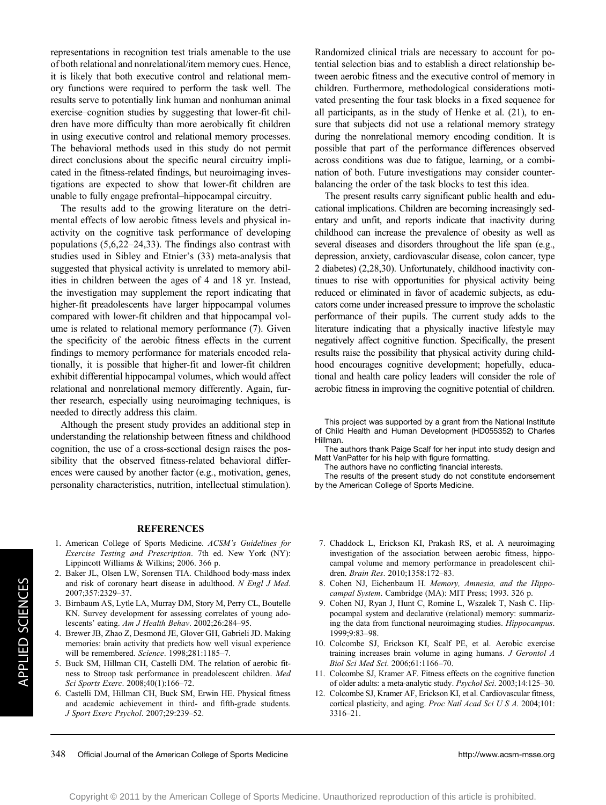representations in recognition test trials amenable to the use of both relational and nonrelational/item memory cues. Hence, it is likely that both executive control and relational memory functions were required to perform the task well. The results serve to potentially link human and nonhuman animal exercise–cognition studies by suggesting that lower-fit children have more difficulty than more aerobically fit children in using executive control and relational memory processes. The behavioral methods used in this study do not permit direct conclusions about the specific neural circuitry implicated in the fitness-related findings, but neuroimaging investigations are expected to show that lower-fit children are unable to fully engage prefrontal–hippocampal circuitry.

The results add to the growing literature on the detrimental effects of low aerobic fitness levels and physical inactivity on the cognitive task performance of developing populations (5,6,22–24,33). The findings also contrast with studies used in Sibley and Etnier's (33) meta-analysis that suggested that physical activity is unrelated to memory abilities in children between the ages of 4 and 18 yr. Instead, the investigation may supplement the report indicating that higher-fit preadolescents have larger hippocampal volumes compared with lower-fit children and that hippocampal volume is related to relational memory performance (7). Given the specificity of the aerobic fitness effects in the current findings to memory performance for materials encoded relationally, it is possible that higher-fit and lower-fit children exhibit differential hippocampal volumes, which would affect relational and nonrelational memory differently. Again, further research, especially using neuroimaging techniques, is needed to directly address this claim.

Although the present study provides an additional step in understanding the relationship between fitness and childhood cognition, the use of a cross-sectional design raises the possibility that the observed fitness-related behavioral differences were caused by another factor (e.g., motivation, genes, personality characteristics, nutrition, intellectual stimulation).

## Randomized clinical trials are necessary to account for potential selection bias and to establish a direct relationship between aerobic fitness and the executive control of memory in children. Furthermore, methodological considerations motivated presenting the four task blocks in a fixed sequence for all participants, as in the study of Henke et al. (21), to ensure that subjects did not use a relational memory strategy during the nonrelational memory encoding condition. It is possible that part of the performance differences observed across conditions was due to fatigue, learning, or a combination of both. Future investigations may consider counterbalancing the order of the task blocks to test this idea.

The present results carry significant public health and educational implications. Children are becoming increasingly sedentary and unfit, and reports indicate that inactivity during childhood can increase the prevalence of obesity as well as several diseases and disorders throughout the life span (e.g., depression, anxiety, cardiovascular disease, colon cancer, type 2 diabetes) (2,28,30). Unfortunately, childhood inactivity continues to rise with opportunities for physical activity being reduced or eliminated in favor of academic subjects, as educators come under increased pressure to improve the scholastic performance of their pupils. The current study adds to the literature indicating that a physically inactive lifestyle may negatively affect cognitive function. Specifically, the present results raise the possibility that physical activity during childhood encourages cognitive development; hopefully, educational and health care policy leaders will consider the role of aerobic fitness in improving the cognitive potential of children.

This project was supported by a grant from the National Institute of Child Health and Human Development (HD055352) to Charles Hillman.

The authors thank Paige Scalf for her input into study design and Matt VanPatter for his help with figure formatting.

The authors have no conflicting financial interests.

The results of the present study do not constitute endorsement by the American College of Sports Medicine.

- **REFERENCES**
- 1. American College of Sports Medicine. ACSM's Guidelines for Exercise Testing and Prescription. 7th ed. New York (NY): Lippincott Williams & Wilkins; 2006. 366 p.
- 2. Baker JL, Olsen LW, Sorensen TIA. Childhood body-mass index and risk of coronary heart disease in adulthood. N Engl J Med. 2007;357:2329–37.
- 3. Birnbaum AS, Lytle LA, Murray DM, Story M, Perry CL, Boutelle KN. Survey development for assessing correlates of young adolescents' eating. Am J Health Behav. 2002;26:284–95.
- 4. Brewer JB, Zhao Z, Desmond JE, Glover GH, Gabrieli JD. Making memories: brain activity that predicts how well visual experience will be remembered. Science. 1998;281:1185–7.
- 5. Buck SM, Hillman CH, Castelli DM. The relation of aerobic fitness to Stroop task performance in preadolescent children. Med Sci Sports Exerc. 2008;40(1):166–72.
- 6. Castelli DM, Hillman CH, Buck SM, Erwin HE. Physical fitness and academic achievement in third- and fifth-grade students. J Sport Exerc Psychol. 2007;29:239–52.
- 7. Chaddock L, Erickson KI, Prakash RS, et al. A neuroimaging investigation of the association between aerobic fitness, hippocampal volume and memory performance in preadolescent children. Brain Res. 2010;1358:172–83.
- 8. Cohen NJ, Eichenbaum H. Memory, Amnesia, and the Hippocampal System. Cambridge (MA): MIT Press; 1993. 326 p.
- 9. Cohen NJ, Ryan J, Hunt C, Romine L, Wszalek T, Nash C. Hippocampal system and declarative (relational) memory: summarizing the data from functional neuroimaging studies. Hippocampus. 1999;9:83–98.
- 10. Colcombe SJ, Erickson KI, Scalf PE, et al. Aerobic exercise training increases brain volume in aging humans. J Gerontol A Biol Sci Med Sci. 2006;61:1166–70.
- 11. Colcombe SJ, Kramer AF. Fitness effects on the cognitive function of older adults: a meta-analytic study. Psychol Sci. 2003;14:125–30.
- 12. Colcombe SJ, Kramer AF, Erickson KI, et al. Cardiovascular fitness, cortical plasticity, and aging. Proc Natl Acad Sci U S A. 2004;101: 3316–21.